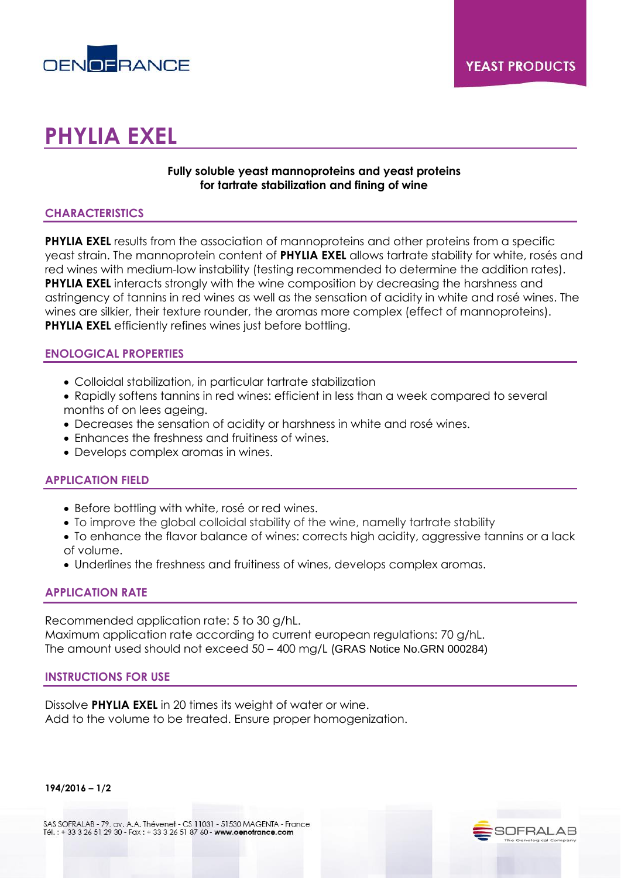

# **PHYLIA EXEL**

## **Fully soluble yeast mannoproteins and yeast proteins for tartrate stabilization and fining of wine**

## **CHARACTERISTICS**

**PHYLIA EXEL** results from the association of mannoproteins and other proteins from a specific yeast strain. The mannoprotein content of **PHYLIA EXEL** allows tartrate stability for white, rosés and red wines with medium-low instability (testing recommended to determine the addition rates). **PHYLIA EXEL** interacts strongly with the wine composition by decreasing the harshness and astringency of tannins in red wines as well as the sensation of acidity in white and rosé wines. The wines are silkier, their texture rounder, the aromas more complex (effect of mannoproteins). **PHYLIA EXEL** efficiently refines wines just before bottling.

## **ENOLOGICAL PROPERTIES**

- Colloidal stabilization, in particular tartrate stabilization
- Rapidly softens tannins in red wines: efficient in less than a week compared to several months of on lees ageing.
- Decreases the sensation of acidity or harshness in white and rosé wines.
- Enhances the freshness and fruitiness of wines.
- Develops complex aromas in wines.

# **APPLICATION FIELD**

- Before bottling with white, rosé or red wines.
- To improve the global colloidal stability of the wine, namelly tartrate stability
- To enhance the flavor balance of wines: corrects high acidity, aggressive tannins or a lack of volume.
- Underlines the freshness and fruitiness of wines, develops complex aromas.

### **APPLICATION RATE**

Recommended application rate: 5 to 30 g/hL. Maximum application rate according to current european regulations: 70 g/hL. The amount used should not exceed 50 – 400 mg/L (GRAS Notice No.GRN 000284)

### **INSTRUCTIONS FOR USE**

Dissolve **PHYLIA EXEL** in 20 times its weight of water or wine. Add to the volume to be treated. Ensure proper homogenization.

**194/2016 – 1/2**

SAS SOFRALAB - 79, av. A.A. Thévenet - CS 11031 - 51530 MAGENTA - France Tél.: + 33 3 26 51 29 30 - Fax: + 33 3 26 51 87 60 - www.oenofrance.com